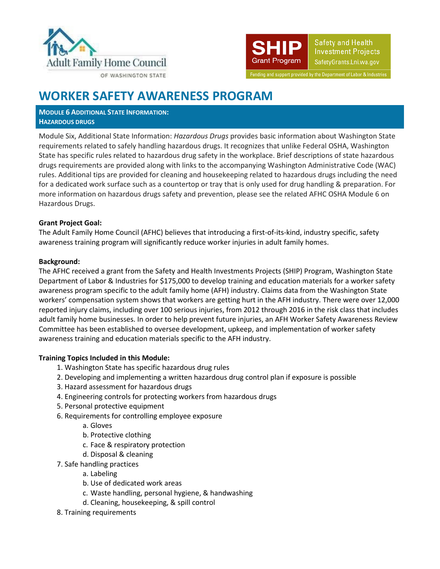



Funding and support provided by the Department of Labor & Industries

## **WORKER SAFETY AWARENESS PROGRAM**

**MODULE 6 ADDITIONAL STATE INFORMATION: HAZARDOUS DRUGS**

Module Six, Additional State Information: *Hazardous Drugs* provides basic information about Washington State requirements related to safely handling hazardous drugs. It recognizes that unlike Federal OSHA, Washington State has specific rules related to hazardous drug safety in the workplace. Brief descriptions of state hazardous drugs requirements are provided along with links to the accompanying Washington Administrative Code (WAC) rules. Additional tips are provided for cleaning and housekeeping related to hazardous drugs including the need for a dedicated work surface such as a countertop or tray that is only used for drug handling & preparation. For more information on hazardous drugs safety and prevention, please see the related AFHC OSHA Module 6 on Hazardous Drugs.

### **Grant Project Goal:**

The Adult Family Home Council (AFHC) believes that introducing a first-of-its-kind, industry specific, safety awareness training program will significantly reduce worker injuries in adult family homes.

### **Background:**

The AFHC received a grant from the Safety and Health Investments Projects (SHIP) Program, Washington State Department of Labor & Industries for \$175,000 to develop training and education materials for a worker safety awareness program specific to the adult family home (AFH) industry. Claims data from the Washington State workers' compensation system shows that workers are getting hurt in the AFH industry. There were over 12,000 reported injury claims, including over 100 serious injuries, from 2012 through 2016 in the risk class that includes adult family home businesses. In order to help prevent future injuries, an AFH Worker Safety Awareness Review Committee has been established to oversee development, upkeep, and implementation of worker safety awareness training and education materials specific to the AFH industry.

### **Training Topics Included in this Module:**

- 1. Washington State has specific hazardous drug rules
- 2. Developing and implementing a written hazardous drug control plan if exposure is possible
- 3. Hazard assessment for hazardous drugs
- 4. Engineering controls for protecting workers from hazardous drugs
- 5. Personal protective equipment
- 6. Requirements for controlling employee exposure
	- a. Gloves
	- b. Protective clothing
	- c. Face & respiratory protection
	- d. Disposal & cleaning
- 7. Safe handling practices
	- a. Labeling
	- b. Use of dedicated work areas
	- c. Waste handling, personal hygiene, & handwashing
	- d. Cleaning, housekeeping, & spill control
- 8. Training requirements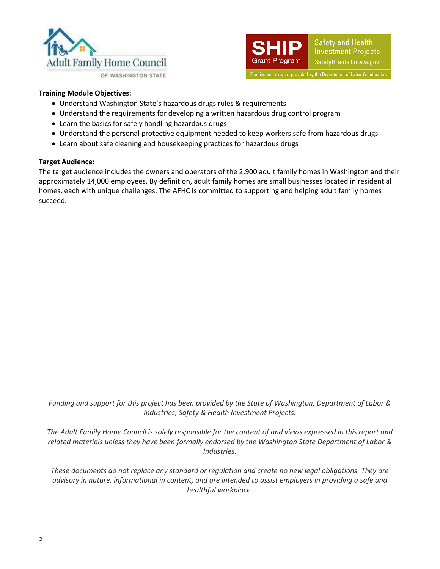



#### **Training Module Objectives:**

- Understand Washington State's hazardous drugs rules & requirements
- Understand the requirements for developing a written hazardous drug control program
- Learn the basics for safely handling hazardous drugs
- Understand the personal protective equipment needed to keep workers safe from hazardous drugs
- Learn about safe cleaning and housekeeping practices for hazardous drugs

#### **Target Audience:**

The target audience includes the owners and operators of the 2,900 adult family homes in Washington and their approximately 14,000 employees. By definition, adult family homes are small businesses located in residential homes, each with unique challenges. The AFHC is committed to supporting and helping adult family homes succeed.

*Funding and support for this project has been provided by the State of Washington, Department of Labor & Industries, Safety & Health Investment Projects.*

*The Adult Family Home Council is solely responsible for the content of and views expressed in this report and related materials unless they have been formally endorsed by the Washington State Department of Labor & Industries.*

*These documents do not replace any standard or regulation and create no new legal obligations. They are advisory in nature, informational in content, and are intended to assist employers in providing a safe and healthful workplace.*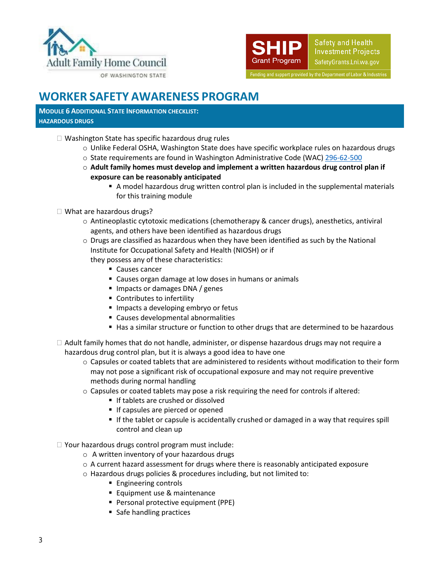



# **WORKER SAFETY AWARENESS PROGRAM**

**MODULE 6 ADDITIONAL STATE INFORMATION CHECKLIST: HAZARDOUS DRUGS**

- □ Washington State has specific hazardous drug rules
	- o Unlike Federal OSHA, Washington State does have specific workplace rules on hazardous drugs
	- o State requirements are found in Washington Administrative Code (WAC[\) 296-62-500](https://lni.wa.gov/safety-health/safety-rules/chapter-pdfs/WAC296-62.pdf#WAC_296_62_500)
	- o **Adult family homes must develop and implement a written hazardous drug control plan if exposure can be reasonably anticipated**
		- A model hazardous drug written control plan is included in the supplemental materials for this training module
- □ What are hazardous drugs?
	- o Antineoplastic cytotoxic medications (chemotherapy & cancer drugs), anesthetics, antiviral agents, and others have been identified as hazardous drugs
	- $\circ$  Drugs are classified as hazardous when they have been identified as such by the National Institute for Occupational Safety and Health (NIOSH) or if
		- they possess any of these characteristics:
			- Causes cancer
			- Causes organ damage at low doses in humans or animals
			- **Impacts or damages DNA / genes**
			- Contributes to infertility
			- **Impacts a developing embryo or fetus**
			- Causes developmental abnormalities
			- Has a similar structure or function to other drugs that are determined to be hazardous
- $\Box$  Adult family homes that do not handle, administer, or dispense hazardous drugs may not require a hazardous drug control plan, but it is always a good idea to have one
	- $\circ$  Capsules or coated tablets that are administered to residents without modification to their form may not pose a significant risk of occupational exposure and may not require preventive methods during normal handling
	- $\circ$  Capsules or coated tablets may pose a risk requiring the need for controls if altered:
		- If tablets are crushed or dissolved
		- **If capsules are pierced or opened**
		- If the tablet or capsule is accidentally crushed or damaged in a way that requires spill control and clean up
- $\Box$  Your hazardous drugs control program must include:
	- o A written inventory of your hazardous drugs
	- $\circ$  A current hazard assessment for drugs where there is reasonably anticipated exposure
	- o Hazardous drugs policies & procedures including, but not limited to:
		- **Engineering controls**
		- **Equipment use & maintenance**
		- **Personal protective equipment (PPE)**
		- Safe handling practices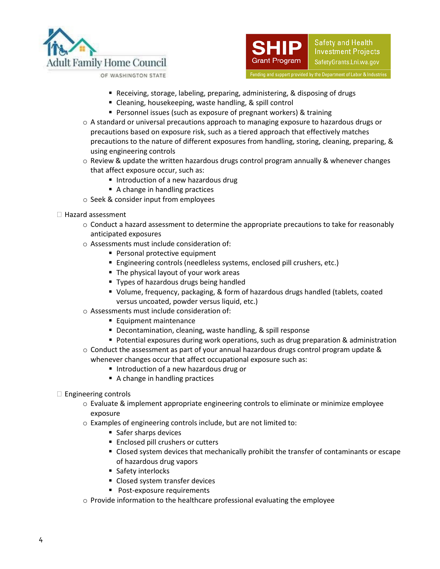





- Receiving, storage, labeling, preparing, administering, & disposing of drugs
- Cleaning, housekeeping, waste handling, & spill control
- **Personnel issues (such as exposure of pregnant workers) & training**
- o A standard or universal precautions approach to managing exposure to hazardous drugs or precautions based on exposure risk, such as a tiered approach that effectively matches precautions to the nature of different exposures from handling, storing, cleaning, preparing, & using engineering controls
- $\circ$  Review & update the written hazardous drugs control program annually & whenever changes that affect exposure occur, such as:
	- Introduction of a new hazardous drug
	- A change in handling practices
- o Seek & consider input from employees
- $\Box$  Hazard assessment
	- o Conduct a hazard assessment to determine the appropriate precautions to take for reasonably anticipated exposures
	- o Assessments must include consideration of:
		- Personal protective equipment
		- Engineering controls (needleless systems, enclosed pill crushers, etc.)
		- The physical layout of your work areas
		- Types of hazardous drugs being handled
		- Volume, frequency, packaging, & form of hazardous drugs handled (tablets, coated versus uncoated, powder versus liquid, etc.)
	- o Assessments must include consideration of:
		- **Equipment maintenance**
		- Decontamination, cleaning, waste handling, & spill response
		- **Potential exposures during work operations, such as drug preparation & administration**
	- $\circ$  Conduct the assessment as part of your annual hazardous drugs control program update & whenever changes occur that affect occupational exposure such as:
		- Introduction of a new hazardous drug or
		- A change in handling practices
- $\Box$  Engineering controls
	- o Evaluate & implement appropriate engineering controls to eliminate or minimize employee exposure
	- o Examples of engineering controls include, but are not limited to:
		- Safer sharps devices
		- **Enclosed pill crushers or cutters**
		- Closed system devices that mechanically prohibit the transfer of contaminants or escape of hazardous drug vapors
		- **Safety interlocks**
		- Closed system transfer devices
		- **Post-exposure requirements**
	- $\circ$  Provide information to the healthcare professional evaluating the employee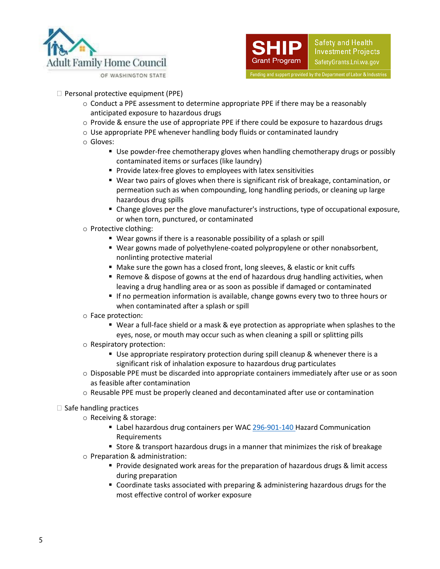



- $\Box$  Personal protective equipment (PPE)
	- $\circ$  Conduct a PPE assessment to determine appropriate PPE if there may be a reasonably anticipated exposure to hazardous drugs
	- o Provide & ensure the use of appropriate PPE if there could be exposure to hazardous drugs
	- $\circ$  Use appropriate PPE whenever handling body fluids or contaminated laundry
	- o Gloves:
		- Use powder-free chemotherapy gloves when handling chemotherapy drugs or possibly contaminated items or surfaces (like laundry)
		- **Provide latex-free gloves to employees with latex sensitivities**
		- Wear two pairs of gloves when there is significant risk of breakage, contamination, or permeation such as when compounding, long handling periods, or cleaning up large hazardous drug spills
		- Change gloves per the glove manufacturer's instructions, type of occupational exposure, or when torn, punctured, or contaminated
	- o Protective clothing:
		- Wear gowns if there is a reasonable possibility of a splash or spill
		- Wear gowns made of polyethylene-coated polypropylene or other nonabsorbent, nonlinting protective material
		- Make sure the gown has a closed front, long sleeves, & elastic or knit cuffs
		- **Remove & dispose of gowns at the end of hazardous drug handling activities, when** leaving a drug handling area or as soon as possible if damaged or contaminated
		- If no permeation information is available, change gowns every two to three hours or when contaminated after a splash or spill
	- o Face protection:
		- Wear a full-face shield or a mask & eye protection as appropriate when splashes to the eyes, nose, or mouth may occur such as when cleaning a spill or splitting pills
	- o Respiratory protection:
		- Use appropriate respiratory protection during spill cleanup & whenever there is a significant risk of inhalation exposure to hazardous drug particulates
	- o Disposable PPE must be discarded into appropriate containers immediately after use or as soon as feasible after contamination
	- $\circ$  Reusable PPE must be properly cleaned and decontaminated after use or contamination
- $\Box$  Safe handling practices
	- o Receiving & storage:
		- Label hazardous drug containers per WA[C 296-901-140](https://apps.leg.wa.gov/WAC/default.aspx?cite=296-901-140) Hazard Communication Requirements
		- **Store & transport hazardous drugs in a manner that minimizes the risk of breakage**
	- o Preparation & administration:
		- **Provide designated work areas for the preparation of hazardous drugs & limit access** during preparation
		- Coordinate tasks associated with preparing & administering hazardous drugs for the most effective control of worker exposure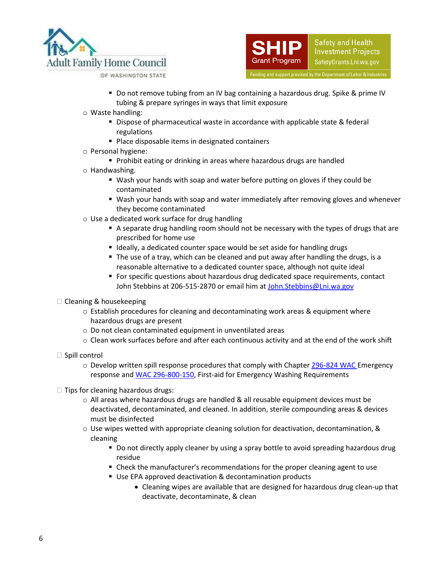



OF WASHINGTON STATE

- Do not remove tubing from an IV bag containing a hazardous drug. Spike & prime IV tubing & prepare syringes in ways that limit exposure
- o Waste handling:
	- **Dispose of pharmaceutical waste in accordance with applicable state & federal** regulations
	- Place disposable items in designated containers
- o Personal hygiene:
	- **Prohibit eating or drinking in areas where hazardous drugs are handled**
- o Handwashing.
	- Wash your hands with soap and water before putting on gloves if they could be contaminated
	- Wash your hands with soap and water immediately after removing gloves and whenever they become contaminated
- $\circ$  Use a dedicated work surface for drug handling
	- A separate drug handling room should not be necessary with the types of drugs that are prescribed for home use
	- Ideally, a dedicated counter space would be set aside for handling drugs
	- The use of a tray, which can be cleaned and put away after handling the drugs, is a reasonable alternative to a dedicated counter space, although not quite ideal
	- For specific questions about hazardous drug dedicated space requirements, contact John Stebbins at 206-515-2870 or email him at John. Stebbins@Lni.wa.gov
- $\Box$  Cleaning & housekeeping
	- o Establish procedures for cleaning and decontaminating work areas & equipment where hazardous drugs are present
	- o Do not clean contaminated equipment in unventilated areas
	- o Clean work surfaces before and after each continuous activity and at the end of the work shift
- $\square$  Spill control
	- o Develop written spill response procedures that comply with Chapte[r 296-824 WAC](https://apps.leg.wa.gov/WAC/default.aspx?cite=296-824) Emergency response an[d WAC 296-800-150,](https://app.leg.wa.gov/wac/default.aspx?cite=296-800-150) First-aid for Emergency Washing Requirements
- $\Box$  Tips for cleaning hazardous drugs:
	- o All areas where hazardous drugs are handled & all reusable equipment devices must be deactivated, decontaminated, and cleaned. In addition, sterile compounding areas & devices must be disinfected
	- $\circ$  Use wipes wetted with appropriate cleaning solution for deactivation, decontamination, & cleaning
		- Do not directly apply cleaner by using a spray bottle to avoid spreading hazardous drug residue
		- Check the manufacturer's recommendations for the proper cleaning agent to use
		- Use EPA approved deactivation & decontamination products
			- Cleaning wipes are available that are designed for hazardous drug clean-up that deactivate, decontaminate, & clean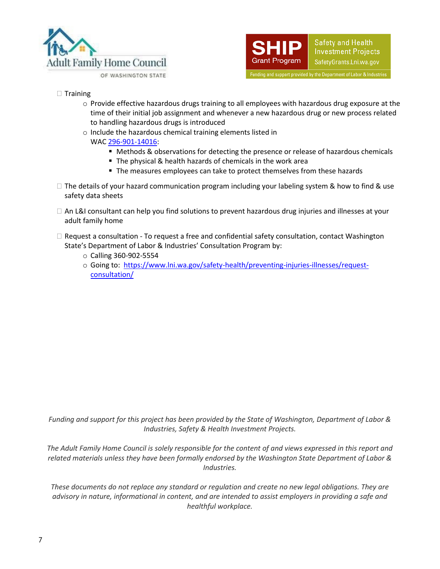



- $\Box$  Training
	- o Provide effective hazardous drugs training to all employees with hazardous drug exposure at the time of their initial job assignment and whenever a new hazardous drug or new process related to handling hazardous drugs is introduced
	- o Include the hazardous chemical training elements listed in
		- WA[C 296-901-14016:](https://app.leg.wa.gov/WAC/default.aspx?cite=296-901-14016)
			- Methods & observations for detecting the presence or release of hazardous chemicals
			- The physical & health hazards of chemicals in the work area
			- The measures employees can take to protect themselves from these hazards
- $\Box$  The details of your hazard communication program including your labeling system & how to find & use safety data sheets
- □ An L&I consultant can help you find solutions to prevent hazardous drug injuries and illnesses at your adult family home
- $\Box$  Request a consultation To request a free and confidential safety consultation, contact Washington State's Department of Labor & Industries' Consultation Program by:
	- o Calling 360-902-5554
	- o Going to: [https://www.lni.wa.gov/safety-health/preventing-injuries-illnesses/request](https://www.lni.wa.gov/safety-health/preventing-injuries-illnesses/request-consultation/)[consultation/](https://www.lni.wa.gov/safety-health/preventing-injuries-illnesses/request-consultation/)

*Funding and support for this project has been provided by the State of Washington, Department of Labor & Industries, Safety & Health Investment Projects.*

*The Adult Family Home Council is solely responsible for the content of and views expressed in this report and related materials unless they have been formally endorsed by the Washington State Department of Labor & Industries.*

*These documents do not replace any standard or regulation and create no new legal obligations. They are advisory in nature, informational in content, and are intended to assist employers in providing a safe and healthful workplace.*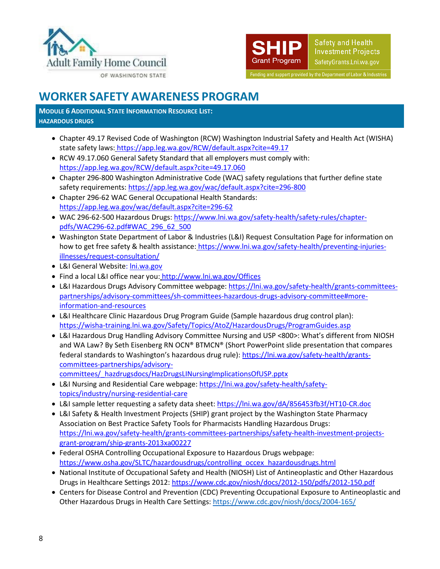



# **WORKER SAFETY AWARENESS PROGRAM**

**MODULE 6 ADDITIONAL STATE INFORMATION RESOURCE LIST: HAZARDOUS DRUGS**

- Chapter 49.17 Revised Code of Washington (RCW) Washington Industrial Safety and Health Act (WISHA) state safety laws: <https://app.leg.wa.gov/RCW/default.aspx?cite=49.17>
- RCW 49.17.060 General Safety Standard that all employers must comply with: <https://app.leg.wa.gov/RCW/default.aspx?cite=49.17.060>
- Chapter 296-800 Washington Administrative Code (WAC) safety regulations that further define state safety requirements[: https://app.leg.wa.gov/wac/default.aspx?cite=296-800](https://app.leg.wa.gov/wac/default.aspx?cite=296-800)
- Chapter 296-62 WAC General Occupational Health Standards: <https://app.leg.wa.gov/wac/default.aspx?cite=296-62>
- WAC 296-62-500 Hazardous Drugs: [https://www.lni.wa.gov/safety-health/safety-rules/chapter](https://www.lni.wa.gov/safety-health/safety-rules/chapter-pdfs/WAC296-62.pdf#WAC_296_62_500)[pdfs/WAC296-62.pdf#WAC\\_296\\_62\\_500](https://www.lni.wa.gov/safety-health/safety-rules/chapter-pdfs/WAC296-62.pdf#WAC_296_62_500)
- Washington State Department of Labor & Industries (L&I) Request Consultation Page for information on how to get free safety & health assistance: [https://www.lni.wa.gov/safety-health/preventing-injuries](https://www.lni.wa.gov/safety-health/preventing-injuries-illnesses/request-consultation/)[illnesses/request-consultation/](https://www.lni.wa.gov/safety-health/preventing-injuries-illnesses/request-consultation/)
- L&I General Websit[e: lni.wa.gov](http://www.lni.wa.gov/)
- Find a local L&I office near you: <http://www.lni.wa.gov/Offices>
- L&I Hazardous Drugs Advisory Committee webpage: [https://lni.wa.gov/safety-health/grants-committees](https://lni.wa.gov/safety-health/grants-committees-partnerships/advisory-committees/sh-committees-hazardous-drugs-advisory-committee#more-information-and-resources)[partnerships/advisory-committees/sh-committees-hazardous-drugs-advisory-committee#more](https://lni.wa.gov/safety-health/grants-committees-partnerships/advisory-committees/sh-committees-hazardous-drugs-advisory-committee#more-information-and-resources)[information-and-resources](https://lni.wa.gov/safety-health/grants-committees-partnerships/advisory-committees/sh-committees-hazardous-drugs-advisory-committee#more-information-and-resources)
- L&I Healthcare Clinic Hazardous Drug Program Guide (Sample hazardous drug control plan): [https://wisha-training.lni.wa.gov/Safety/Topics/AtoZ/HazardousDrugs/ProgramGuides.asp](https://lni.wa.gov/safety-health/_docs/HealthCareClinicSampleProgram.doc)
- L&I Hazardous Drug Handling Advisory Committee Nursing and USP <800>: What's different from NIOSH and WA Law? By Seth Eisenberg RN OCN® BTMCN® (Short PowerPoint slide presentation that compares federal standards to Washington's hazardous drug rule): [https://lni.wa.gov/safety-health/grants](https://lni.wa.gov/safety-health/grants-committees-partnerships/advisory-committees/_hazdrugsdocs/HazDrugsLINursingImplicationsOfUSP.pptx)[committees-partnerships/advisory-](https://lni.wa.gov/safety-health/grants-committees-partnerships/advisory-committees/_hazdrugsdocs/HazDrugsLINursingImplicationsOfUSP.pptx)

[committees/\\_hazdrugsdocs/HazDrugsLINursingImplicationsOfUSP.pptx](https://lni.wa.gov/safety-health/grants-committees-partnerships/advisory-committees/_hazdrugsdocs/HazDrugsLINursingImplicationsOfUSP.pptx)

- L&I Nursing and Residential Care webpage[: https://lni.wa.gov/safety-health/safety](https://lni.wa.gov/safety-health/safety-topics/industry/nursing-residential-care)[topics/industry/nursing-residential-care](https://lni.wa.gov/safety-health/safety-topics/industry/nursing-residential-care)
- L&I sample letter requesting a safety data sheet:<https://lni.wa.gov/dA/856453fb3f/HT10-CR.doc>
- L&I Safety & Health Investment Projects (SHIP) grant project by the Washington State Pharmacy Association on Best Practice Safety Tools for Pharmacists Handling Hazardous Drugs: [https://lni.wa.gov/safety-health/grants-committees-partnerships/safety-health-investment-projects](https://lni.wa.gov/safety-health/grants-committees-partnerships/safety-health-investment-projects-grant-program/ship-grants-2013xa00227)[grant-program/ship-grants-2013xa00227](https://lni.wa.gov/safety-health/grants-committees-partnerships/safety-health-investment-projects-grant-program/ship-grants-2013xa00227)
- Federal OSHA Controlling Occupational Exposure to Hazardous Drugs webpage: [https://www.osha.gov/SLTC/hazardousdrugs/controlling\\_occex\\_hazardousdrugs.html](https://www.osha.gov/SLTC/hazardousdrugs/controlling_occex_hazardousdrugs.html)
- National Institute of Occupational Safety and Health (NIOSH) List of Antineoplastic and Other Hazardous Drugs in Healthcare Settings 2012:<https://www.cdc.gov/niosh/docs/2012-150/pdfs/2012-150.pdf>
- Centers for Disease Control and Prevention (CDC) Preventing Occupational Exposure to Antineoplastic and Other Hazardous Drugs in Health Care Settings:<https://www.cdc.gov/niosh/docs/2004-165/>